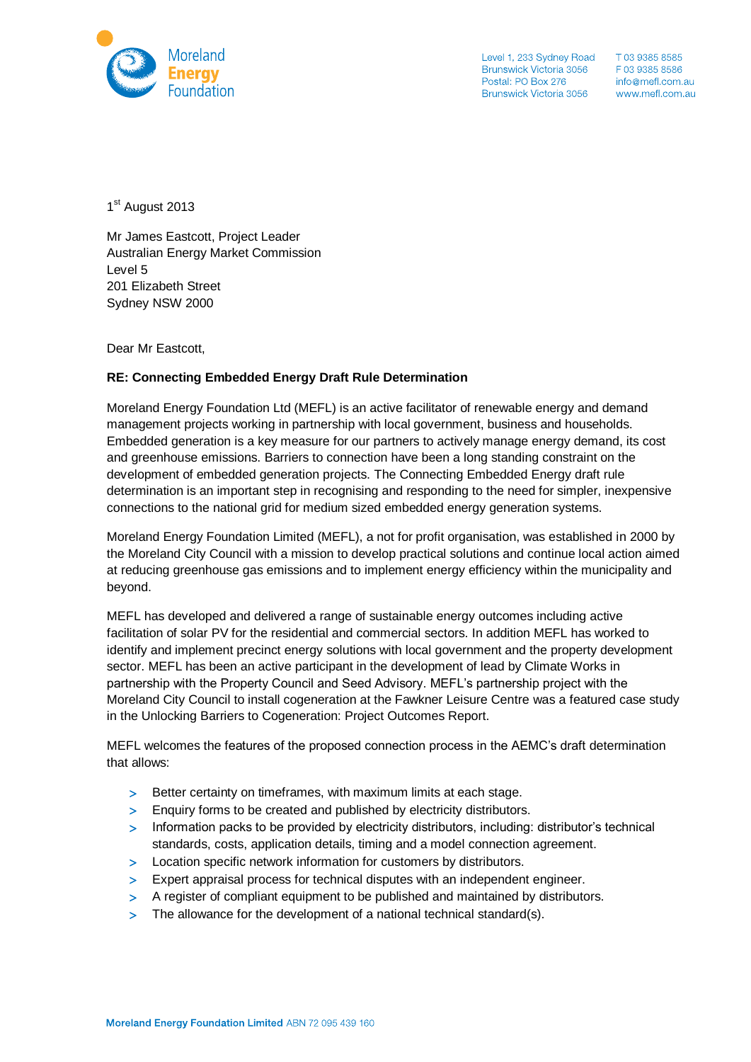

Level 1, 233 Sydney Road T 03 9385 8585<br>
Brunswick Victoria 3056 F 03 9385 8586<br>
Postal: PO Box 276 info@mefl.com.au<br>
Brunswick Victoria 3056 www.mefl.com.au

1<sup>st</sup> August 2013

Mr James Eastcott, Project Leader Australian Energy Market Commission Level 5 201 Elizabeth Street Sydney NSW 2000

Dear Mr Eastcott,

## **RE: Connecting Embedded Energy Draft Rule Determination**

Moreland Energy Foundation Ltd (MEFL) is an active facilitator of renewable energy and demand management projects working in partnership with local government, business and households. Embedded generation is a key measure for our partners to actively manage energy demand, its cost and greenhouse emissions. Barriers to connection have been a long standing constraint on the development of embedded generation projects. The Connecting Embedded Energy draft rule determination is an important step in recognising and responding to the need for simpler, inexpensive connections to the national grid for medium sized embedded energy generation systems.

Moreland Energy Foundation Limited (MEFL), a not for profit organisation, was established in 2000 by the Moreland City Council with a mission to develop practical solutions and continue local action aimed at reducing greenhouse gas emissions and to implement energy efficiency within the municipality and beyond.

MEFL has developed and delivered a range of sustainable energy outcomes including active facilitation of solar PV for the residential and commercial sectors. In addition MEFL has worked to identify and implement precinct energy solutions with local government and the property development sector. MEFL has been an active participant in the development of lead by Climate Works in partnership with the Property Council and Seed Advisory. MEFL's partnership project with the Moreland City Council to install cogeneration at the Fawkner Leisure Centre was a featured case study in the Unlocking Barriers to Cogeneration: Project Outcomes Report.

MEFL welcomes the features of the proposed connection process in the AEMC's draft determination that allows:

- > Better certainty on timeframes, with maximum limits at each stage.
- Enquiry forms to be created and published by electricity distributors.
- Information packs to be provided by electricity distributors, including: distributor's technical standards, costs, application details, timing and a model connection agreement.
- > Location specific network information for customers by distributors.
- Expert appraisal process for technical disputes with an independent engineer.
- A register of compliant equipment to be published and maintained by distributors.
- > The allowance for the development of a national technical standard(s).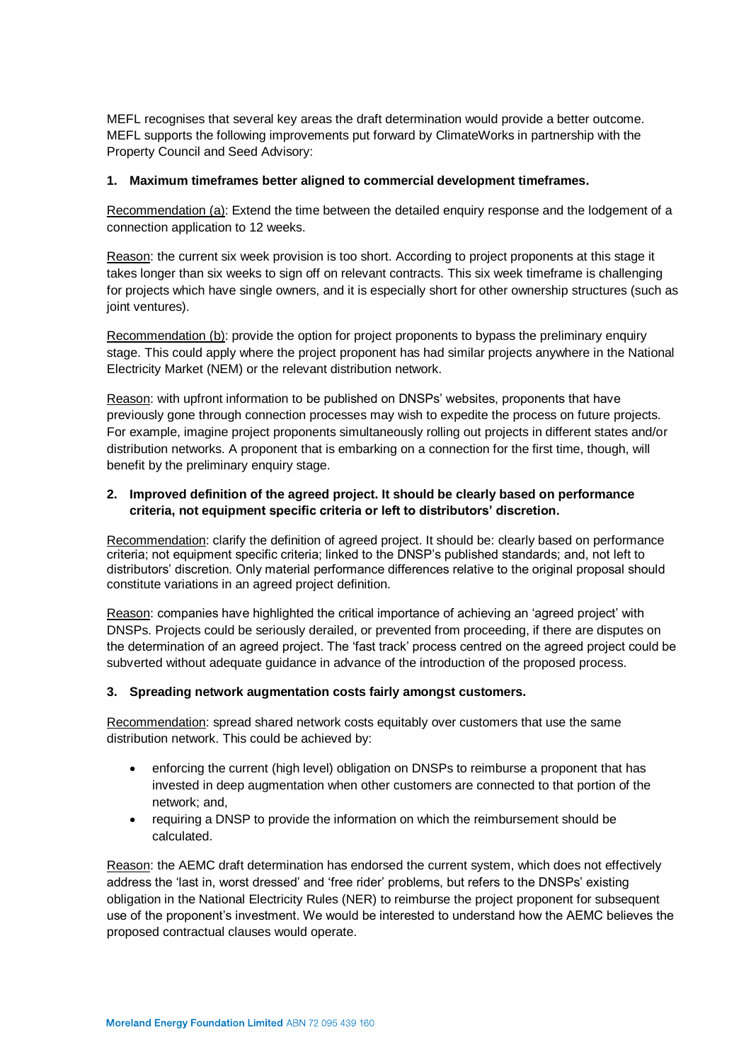MEFL recognises that several key areas the draft determination would provide a better outcome. MEFL supports the following improvements put forward by ClimateWorks in partnership with the Property Council and Seed Advisory:

## **1. Maximum timeframes better aligned to commercial development timeframes.**

Recommendation (a): Extend the time between the detailed enquiry response and the lodgement of a connection application to 12 weeks.

Reason: the current six week provision is too short. According to project proponents at this stage it takes longer than six weeks to sign off on relevant contracts. This six week timeframe is challenging for projects which have single owners, and it is especially short for other ownership structures (such as joint ventures).

Recommendation (b): provide the option for project proponents to bypass the preliminary enquiry stage. This could apply where the project proponent has had similar projects anywhere in the National Electricity Market (NEM) or the relevant distribution network.

Reason: with upfront information to be published on DNSPs' websites, proponents that have previously gone through connection processes may wish to expedite the process on future projects. For example, imagine project proponents simultaneously rolling out projects in different states and/or distribution networks. A proponent that is embarking on a connection for the first time, though, will benefit by the preliminary enquiry stage.

# **2. Improved definition of the agreed project. It should be clearly based on performance criteria, not equipment specific criteria or left to distributors' discretion.**

Recommendation: clarify the definition of agreed project. It should be: clearly based on performance criteria; not equipment specific criteria; linked to the DNSP's published standards; and, not left to distributors' discretion. Only material performance differences relative to the original proposal should constitute variations in an agreed project definition.

Reason: companies have highlighted the critical importance of achieving an 'agreed project' with DNSPs. Projects could be seriously derailed, or prevented from proceeding, if there are disputes on the determination of an agreed project. The 'fast track' process centred on the agreed project could be subverted without adequate guidance in advance of the introduction of the proposed process.

## **3. Spreading network augmentation costs fairly amongst customers.**

Recommendation: spread shared network costs equitably over customers that use the same distribution network. This could be achieved by:

- enforcing the current (high level) obligation on DNSPs to reimburse a proponent that has invested in deep augmentation when other customers are connected to that portion of the network; and,
- requiring a DNSP to provide the information on which the reimbursement should be calculated.

Reason: the AEMC draft determination has endorsed the current system, which does not effectively address the 'last in, worst dressed' and 'free rider' problems, but refers to the DNSPs' existing obligation in the National Electricity Rules (NER) to reimburse the project proponent for subsequent use of the proponent's investment. We would be interested to understand how the AEMC believes the proposed contractual clauses would operate.